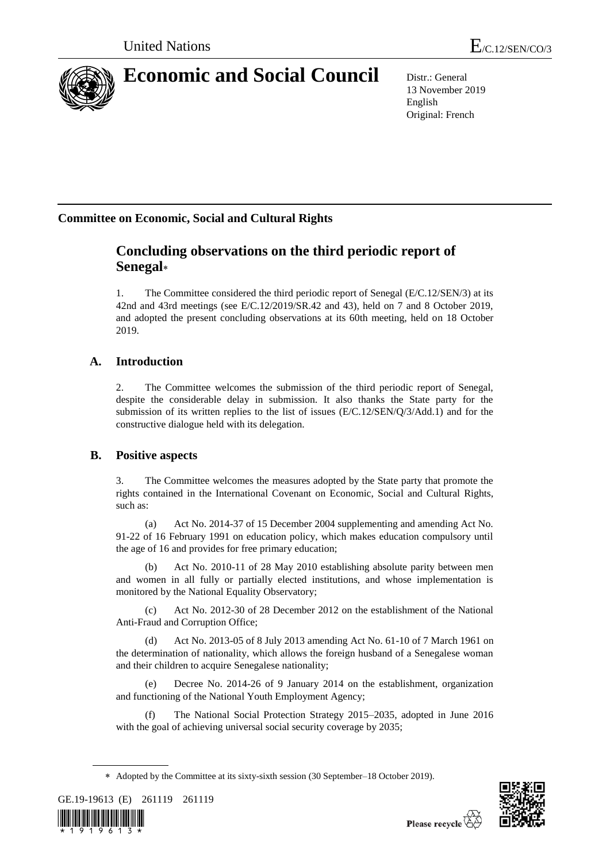

# **Economic and Social Council** Distr.: General

13 November 2019 English Original: French

# **Committee on Economic, Social and Cultural Rights**

# **Concluding observations on the third periodic report of Senegal**

1. The Committee considered the third periodic report of Senegal (E/C.12/SEN/3) at its 42nd and 43rd meetings (see E/C.12/2019/SR.42 and 43), held on 7 and 8 October 2019, and adopted the present concluding observations at its 60th meeting, held on 18 October 2019.

# **A. Introduction**

2. The Committee welcomes the submission of the third periodic report of Senegal, despite the considerable delay in submission. It also thanks the State party for the submission of its written replies to the list of issues (E/C.12/SEN/Q/3/Add.1) and for the constructive dialogue held with its delegation.

# **B. Positive aspects**

3. The Committee welcomes the measures adopted by the State party that promote the rights contained in the International Covenant on Economic, Social and Cultural Rights, such as:

(a) Act No. 2014-37 of 15 December 2004 supplementing and amending Act No. 91-22 of 16 February 1991 on education policy, which makes education compulsory until the age of 16 and provides for free primary education;

(b) Act No. 2010-11 of 28 May 2010 establishing absolute parity between men and women in all fully or partially elected institutions, and whose implementation is monitored by the National Equality Observatory;

(c) Act No. 2012-30 of 28 December 2012 on the establishment of the National Anti-Fraud and Corruption Office;

Act No. 2013-05 of 8 July 2013 amending Act No. 61-10 of 7 March 1961 on the determination of nationality, which allows the foreign husband of a Senegalese woman and their children to acquire Senegalese nationality;

Decree No. 2014-26 of 9 January 2014 on the establishment, organization and functioning of the National Youth Employment Agency;

(f) The National Social Protection Strategy 2015–2035, adopted in June 2016 with the goal of achieving universal social security coverage by 2035;

Adopted by the Committee at its sixty-sixth session (30 September–18 October 2019).





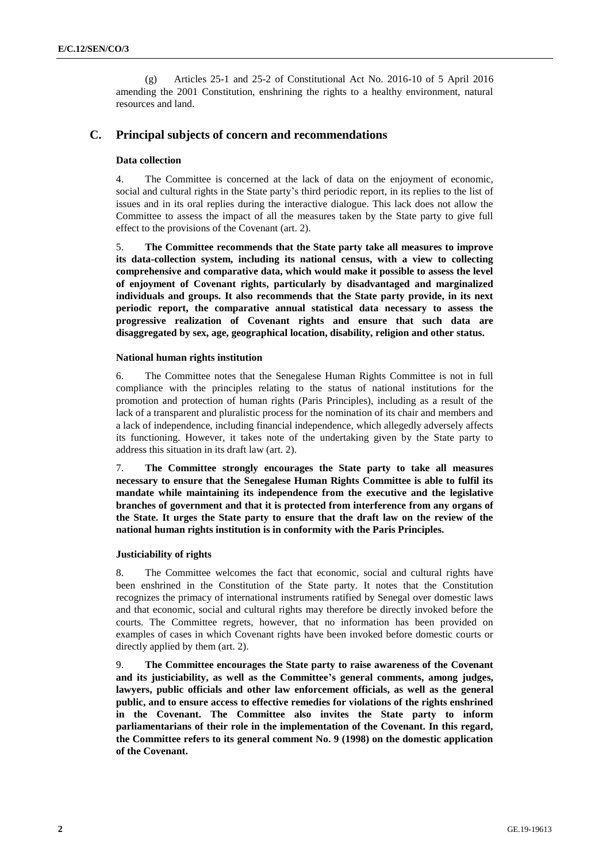(g) Articles 25-1 and 25-2 of Constitutional Act No. 2016-10 of 5 April 2016 amending the 2001 Constitution, enshrining the rights to a healthy environment, natural resources and land.

# **C. Principal subjects of concern and recommendations**

### **Data collection**

4. The Committee is concerned at the lack of data on the enjoyment of economic, social and cultural rights in the State party's third periodic report, in its replies to the list of issues and in its oral replies during the interactive dialogue. This lack does not allow the Committee to assess the impact of all the measures taken by the State party to give full effect to the provisions of the Covenant (art. 2).

5. **The Committee recommends that the State party take all measures to improve its data-collection system, including its national census, with a view to collecting comprehensive and comparative data, which would make it possible to assess the level of enjoyment of Covenant rights, particularly by disadvantaged and marginalized individuals and groups. It also recommends that the State party provide, in its next periodic report, the comparative annual statistical data necessary to assess the progressive realization of Covenant rights and ensure that such data are disaggregated by sex, age, geographical location, disability, religion and other status.**

### **National human rights institution**

6. The Committee notes that the Senegalese Human Rights Committee is not in full compliance with the principles relating to the status of national institutions for the promotion and protection of human rights (Paris Principles), including as a result of the lack of a transparent and pluralistic process for the nomination of its chair and members and a lack of independence, including financial independence, which allegedly adversely affects its functioning. However, it takes note of the undertaking given by the State party to address this situation in its draft law (art. 2).

7. **The Committee strongly encourages the State party to take all measures necessary to ensure that the Senegalese Human Rights Committee is able to fulfil its mandate while maintaining its independence from the executive and the legislative branches of government and that it is protected from interference from any organs of the State. It urges the State party to ensure that the draft law on the review of the national human rights institution is in conformity with the Paris Principles.**

# **Justiciability of rights**

8. The Committee welcomes the fact that economic, social and cultural rights have been enshrined in the Constitution of the State party. It notes that the Constitution recognizes the primacy of international instruments ratified by Senegal over domestic laws and that economic, social and cultural rights may therefore be directly invoked before the courts. The Committee regrets, however, that no information has been provided on examples of cases in which Covenant rights have been invoked before domestic courts or directly applied by them (art. 2).

9. **The Committee encourages the State party to raise awareness of the Covenant and its justiciability, as well as the Committee's general comments, among judges, lawyers, public officials and other law enforcement officials, as well as the general public, and to ensure access to effective remedies for violations of the rights enshrined in the Covenant. The Committee also invites the State party to inform parliamentarians of their role in the implementation of the Covenant. In this regard, the Committee refers to its general comment No. 9 (1998) on the domestic application of the Covenant.**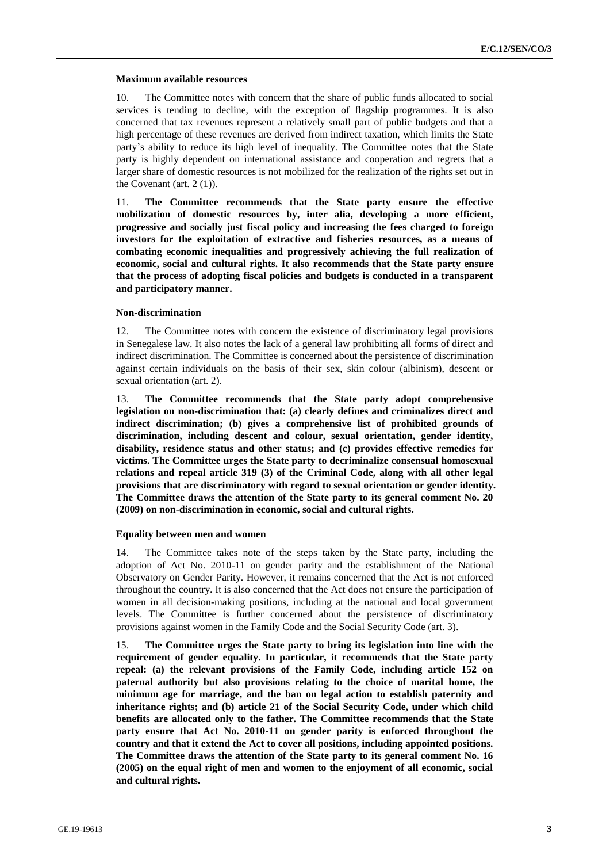## **Maximum available resources**

10. The Committee notes with concern that the share of public funds allocated to social services is tending to decline, with the exception of flagship programmes. It is also concerned that tax revenues represent a relatively small part of public budgets and that a high percentage of these revenues are derived from indirect taxation, which limits the State party's ability to reduce its high level of inequality. The Committee notes that the State party is highly dependent on international assistance and cooperation and regrets that a larger share of domestic resources is not mobilized for the realization of the rights set out in the Covenant (art. 2 (1)).

11. **The Committee recommends that the State party ensure the effective mobilization of domestic resources by, inter alia, developing a more efficient, progressive and socially just fiscal policy and increasing the fees charged to foreign investors for the exploitation of extractive and fisheries resources, as a means of combating economic inequalities and progressively achieving the full realization of economic, social and cultural rights. It also recommends that the State party ensure that the process of adopting fiscal policies and budgets is conducted in a transparent and participatory manner.**

#### **Non-discrimination**

12. The Committee notes with concern the existence of discriminatory legal provisions in Senegalese law. It also notes the lack of a general law prohibiting all forms of direct and indirect discrimination. The Committee is concerned about the persistence of discrimination against certain individuals on the basis of their sex, skin colour (albinism), descent or sexual orientation (art. 2).

13. **The Committee recommends that the State party adopt comprehensive legislation on non-discrimination that: (a) clearly defines and criminalizes direct and indirect discrimination; (b) gives a comprehensive list of prohibited grounds of discrimination, including descent and colour, sexual orientation, gender identity, disability, residence status and other status; and (c) provides effective remedies for victims. The Committee urges the State party to decriminalize consensual homosexual relations and repeal article 319 (3) of the Criminal Code, along with all other legal provisions that are discriminatory with regard to sexual orientation or gender identity. The Committee draws the attention of the State party to its general comment No. 20 (2009) on non-discrimination in economic, social and cultural rights.**

#### **Equality between men and women**

14. The Committee takes note of the steps taken by the State party, including the adoption of Act No. 2010-11 on gender parity and the establishment of the National Observatory on Gender Parity. However, it remains concerned that the Act is not enforced throughout the country. It is also concerned that the Act does not ensure the participation of women in all decision-making positions, including at the national and local government levels. The Committee is further concerned about the persistence of discriminatory provisions against women in the Family Code and the Social Security Code (art. 3).

15. **The Committee urges the State party to bring its legislation into line with the requirement of gender equality. In particular, it recommends that the State party repeal: (a) the relevant provisions of the Family Code, including article 152 on paternal authority but also provisions relating to the choice of marital home, the minimum age for marriage, and the ban on legal action to establish paternity and inheritance rights; and (b) article 21 of the Social Security Code, under which child benefits are allocated only to the father. The Committee recommends that the State party ensure that Act No. 2010-11 on gender parity is enforced throughout the country and that it extend the Act to cover all positions, including appointed positions. The Committee draws the attention of the State party to its general comment No. 16 (2005) on the equal right of men and women to the enjoyment of all economic, social and cultural rights.**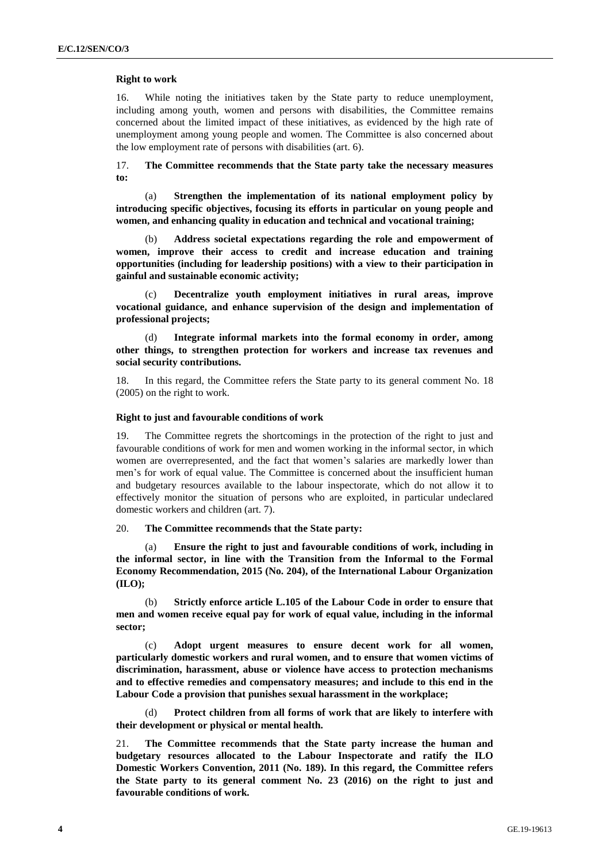#### **Right to work**

16. While noting the initiatives taken by the State party to reduce unemployment, including among youth, women and persons with disabilities, the Committee remains concerned about the limited impact of these initiatives, as evidenced by the high rate of unemployment among young people and women. The Committee is also concerned about the low employment rate of persons with disabilities (art. 6).

17. **The Committee recommends that the State party take the necessary measures to:**

(a) **Strengthen the implementation of its national employment policy by introducing specific objectives, focusing its efforts in particular on young people and women, and enhancing quality in education and technical and vocational training;** 

(b) **Address societal expectations regarding the role and empowerment of women, improve their access to credit and increase education and training opportunities (including for leadership positions) with a view to their participation in gainful and sustainable economic activity;** 

(c) **Decentralize youth employment initiatives in rural areas, improve vocational guidance, and enhance supervision of the design and implementation of professional projects;** 

(d) **Integrate informal markets into the formal economy in order, among other things, to strengthen protection for workers and increase tax revenues and social security contributions.** 

18. In this regard, the Committee refers the State party to its general comment No. 18 (2005) on the right to work.

#### **Right to just and favourable conditions of work**

19. The Committee regrets the shortcomings in the protection of the right to just and favourable conditions of work for men and women working in the informal sector, in which women are overrepresented, and the fact that women's salaries are markedly lower than men's for work of equal value. The Committee is concerned about the insufficient human and budgetary resources available to the labour inspectorate, which do not allow it to effectively monitor the situation of persons who are exploited, in particular undeclared domestic workers and children (art. 7).

20. **The Committee recommends that the State party:**

(a) **Ensure the right to just and favourable conditions of work, including in the informal sector, in line with the Transition from the Informal to the Formal Economy Recommendation, 2015 (No. 204), of the International Labour Organization (ILO);** 

(b) **Strictly enforce article L.105 of the Labour Code in order to ensure that men and women receive equal pay for work of equal value, including in the informal sector;**

(c) **Adopt urgent measures to ensure decent work for all women, particularly domestic workers and rural women, and to ensure that women victims of discrimination, harassment, abuse or violence have access to protection mechanisms and to effective remedies and compensatory measures; and include to this end in the Labour Code a provision that punishes sexual harassment in the workplace;**

Protect children from all forms of work that are likely to interfere with **their development or physical or mental health.**

21. **The Committee recommends that the State party increase the human and budgetary resources allocated to the Labour Inspectorate and ratify the ILO Domestic Workers Convention, 2011 (No. 189). In this regard, the Committee refers the State party to its general comment No. 23 (2016) on the right to just and favourable conditions of work.**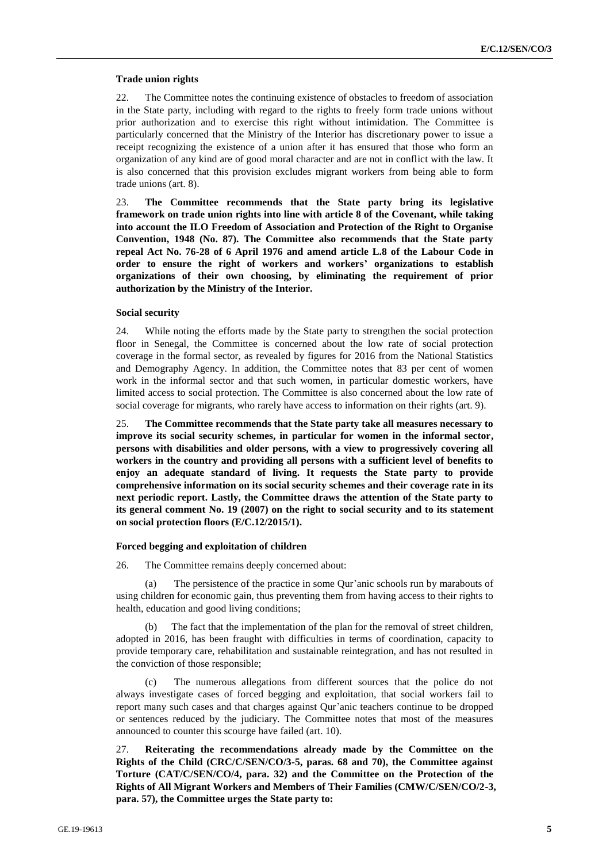#### **Trade union rights**

22. The Committee notes the continuing existence of obstacles to freedom of association in the State party, including with regard to the rights to freely form trade unions without prior authorization and to exercise this right without intimidation. The Committee is particularly concerned that the Ministry of the Interior has discretionary power to issue a receipt recognizing the existence of a union after it has ensured that those who form an organization of any kind are of good moral character and are not in conflict with the law. It is also concerned that this provision excludes migrant workers from being able to form trade unions (art. 8).

23. **The Committee recommends that the State party bring its legislative framework on trade union rights into line with article 8 of the Covenant, while taking into account the ILO Freedom of Association and Protection of the Right to Organise Convention, 1948 (No. 87). The Committee also recommends that the State party repeal Act No. 76-28 of 6 April 1976 and amend article L.8 of the Labour Code in order to ensure the right of workers and workers' organizations to establish organizations of their own choosing, by eliminating the requirement of prior authorization by the Ministry of the Interior.**

#### **Social security**

24. While noting the efforts made by the State party to strengthen the social protection floor in Senegal, the Committee is concerned about the low rate of social protection coverage in the formal sector, as revealed by figures for 2016 from the National Statistics and Demography Agency. In addition, the Committee notes that 83 per cent of women work in the informal sector and that such women, in particular domestic workers, have limited access to social protection. The Committee is also concerned about the low rate of social coverage for migrants, who rarely have access to information on their rights (art. 9).

25. **The Committee recommends that the State party take all measures necessary to improve its social security schemes, in particular for women in the informal sector, persons with disabilities and older persons, with a view to progressively covering all workers in the country and providing all persons with a sufficient level of benefits to enjoy an adequate standard of living. It requests the State party to provide comprehensive information on its social security schemes and their coverage rate in its next periodic report. Lastly, the Committee draws the attention of the State party to its general comment No. 19 (2007) on the right to social security and to its statement on social protection floors (E/C.12/2015/1).**

#### **Forced begging and exploitation of children**

26. The Committee remains deeply concerned about:

(a) The persistence of the practice in some Qur'anic schools run by marabouts of using children for economic gain, thus preventing them from having access to their rights to health, education and good living conditions;

(b) The fact that the implementation of the plan for the removal of street children, adopted in 2016, has been fraught with difficulties in terms of coordination, capacity to provide temporary care, rehabilitation and sustainable reintegration, and has not resulted in the conviction of those responsible;

(c) The numerous allegations from different sources that the police do not always investigate cases of forced begging and exploitation, that social workers fail to report many such cases and that charges against Qur'anic teachers continue to be dropped or sentences reduced by the judiciary. The Committee notes that most of the measures announced to counter this scourge have failed (art. 10).

27. **Reiterating the recommendations already made by the Committee on the Rights of the Child (CRC/C/SEN/CO/3-5, paras. 68 and 70), the Committee against Torture (CAT/C/SEN/CO/4, para. 32) and the Committee on the Protection of the Rights of All Migrant Workers and Members of Their Families (CMW/C/SEN/CO/2-3, para. 57), the Committee urges the State party to:**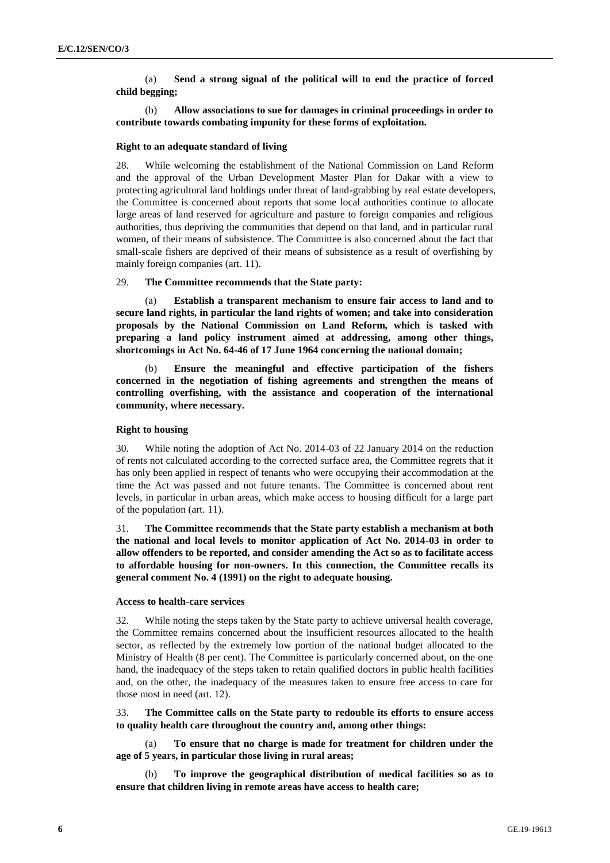(a) **Send a strong signal of the political will to end the practice of forced child begging;** 

(b) **Allow associations to sue for damages in criminal proceedings in order to contribute towards combating impunity for these forms of exploitation.**

#### **Right to an adequate standard of living**

28. While welcoming the establishment of the National Commission on Land Reform and the approval of the Urban Development Master Plan for Dakar with a view to protecting agricultural land holdings under threat of land-grabbing by real estate developers, the Committee is concerned about reports that some local authorities continue to allocate large areas of land reserved for agriculture and pasture to foreign companies and religious authorities, thus depriving the communities that depend on that land, and in particular rural women, of their means of subsistence. The Committee is also concerned about the fact that small-scale fishers are deprived of their means of subsistence as a result of overfishing by mainly foreign companies (art. 11).

#### 29. **The Committee recommends that the State party:**

(a) **Establish a transparent mechanism to ensure fair access to land and to secure land rights, in particular the land rights of women; and take into consideration proposals by the National Commission on Land Reform, which is tasked with preparing a land policy instrument aimed at addressing, among other things, shortcomings in Act No. 64-46 of 17 June 1964 concerning the national domain;** 

(b) **Ensure the meaningful and effective participation of the fishers concerned in the negotiation of fishing agreements and strengthen the means of controlling overfishing, with the assistance and cooperation of the international community, where necessary.**

#### **Right to housing**

30. While noting the adoption of Act No. 2014-03 of 22 January 2014 on the reduction of rents not calculated according to the corrected surface area, the Committee regrets that it has only been applied in respect of tenants who were occupying their accommodation at the time the Act was passed and not future tenants. The Committee is concerned about rent levels, in particular in urban areas, which make access to housing difficult for a large part of the population (art. 11).

31. **The Committee recommends that the State party establish a mechanism at both the national and local levels to monitor application of Act No. 2014-03 in order to allow offenders to be reported, and consider amending the Act so as to facilitate access to affordable housing for non-owners. In this connection, the Committee recalls its general comment No. 4 (1991) on the right to adequate housing.**

# **Access to health-care services**

32. While noting the steps taken by the State party to achieve universal health coverage, the Committee remains concerned about the insufficient resources allocated to the health sector, as reflected by the extremely low portion of the national budget allocated to the Ministry of Health (8 per cent). The Committee is particularly concerned about, on the one hand, the inadequacy of the steps taken to retain qualified doctors in public health facilities and, on the other, the inadequacy of the measures taken to ensure free access to care for those most in need (art. 12).

### 33. **The Committee calls on the State party to redouble its efforts to ensure access to quality health care throughout the country and, among other things:**

(a) **To ensure that no charge is made for treatment for children under the age of 5 years, in particular those living in rural areas;** 

(b) **To improve the geographical distribution of medical facilities so as to ensure that children living in remote areas have access to health care;**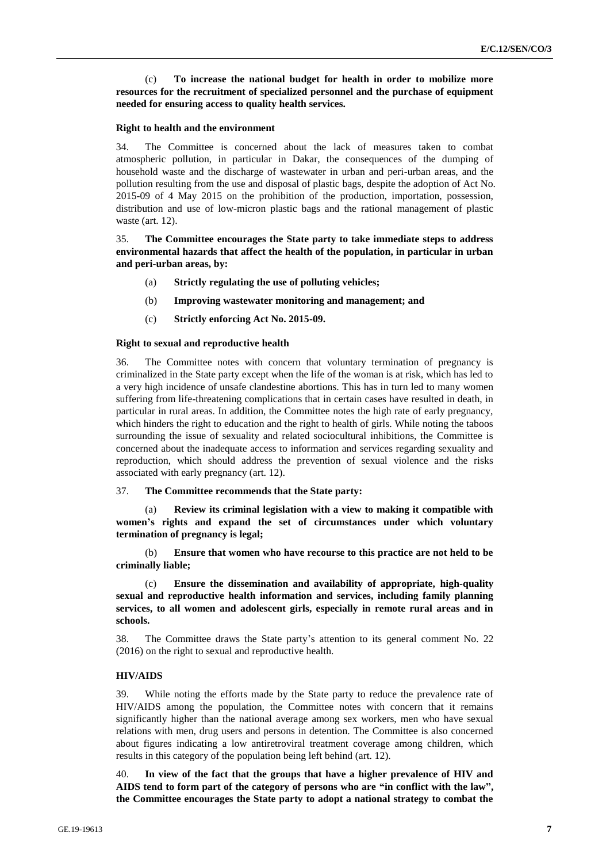(c) **To increase the national budget for health in order to mobilize more resources for the recruitment of specialized personnel and the purchase of equipment needed for ensuring access to quality health services.**

#### **Right to health and the environment**

34. The Committee is concerned about the lack of measures taken to combat atmospheric pollution, in particular in Dakar, the consequences of the dumping of household waste and the discharge of wastewater in urban and peri-urban areas, and the pollution resulting from the use and disposal of plastic bags, despite the adoption of Act No. 2015-09 of 4 May 2015 on the prohibition of the production, importation, possession, distribution and use of low-micron plastic bags and the rational management of plastic waste (art. 12).

35. **The Committee encourages the State party to take immediate steps to address environmental hazards that affect the health of the population, in particular in urban and peri-urban areas, by:** 

- (a) **Strictly regulating the use of polluting vehicles;**
- (b) **Improving wastewater monitoring and management; and**
- (c) **Strictly enforcing Act No. 2015-09.**

#### **Right to sexual and reproductive health**

36. The Committee notes with concern that voluntary termination of pregnancy is criminalized in the State party except when the life of the woman is at risk, which has led to a very high incidence of unsafe clandestine abortions. This has in turn led to many women suffering from life-threatening complications that in certain cases have resulted in death, in particular in rural areas. In addition, the Committee notes the high rate of early pregnancy, which hinders the right to education and the right to health of girls. While noting the taboos surrounding the issue of sexuality and related sociocultural inhibitions, the Committee is concerned about the inadequate access to information and services regarding sexuality and reproduction, which should address the prevention of sexual violence and the risks associated with early pregnancy (art. 12).

#### 37. **The Committee recommends that the State party:**

(a) **Review its criminal legislation with a view to making it compatible with women's rights and expand the set of circumstances under which voluntary termination of pregnancy is legal;** 

(b) **Ensure that women who have recourse to this practice are not held to be criminally liable;** 

(c) **Ensure the dissemination and availability of appropriate, high-quality sexual and reproductive health information and services, including family planning services, to all women and adolescent girls, especially in remote rural areas and in schools.** 

38. The Committee draws the State party's attention to its general comment No. 22 (2016) on the right to sexual and reproductive health.

#### **HIV/AIDS**

39. While noting the efforts made by the State party to reduce the prevalence rate of HIV/AIDS among the population, the Committee notes with concern that it remains significantly higher than the national average among sex workers, men who have sexual relations with men, drug users and persons in detention. The Committee is also concerned about figures indicating a low antiretroviral treatment coverage among children, which results in this category of the population being left behind (art. 12).

40. **In view of the fact that the groups that have a higher prevalence of HIV and AIDS tend to form part of the category of persons who are "in conflict with the law", the Committee encourages the State party to adopt a national strategy to combat the**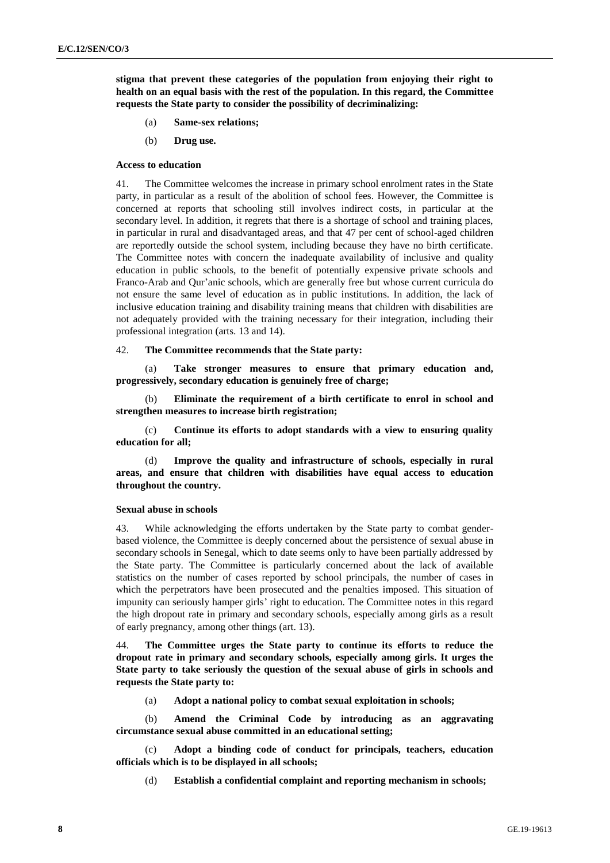**stigma that prevent these categories of the population from enjoying their right to health on an equal basis with the rest of the population. In this regard, the Committee requests the State party to consider the possibility of decriminalizing:** 

- (a) **Same-sex relations;**
- (b) **Drug use.**

#### **Access to education**

41. The Committee welcomes the increase in primary school enrolment rates in the State party, in particular as a result of the abolition of school fees. However, the Committee is concerned at reports that schooling still involves indirect costs, in particular at the secondary level. In addition, it regrets that there is a shortage of school and training places, in particular in rural and disadvantaged areas, and that 47 per cent of school-aged children are reportedly outside the school system, including because they have no birth certificate. The Committee notes with concern the inadequate availability of inclusive and quality education in public schools, to the benefit of potentially expensive private schools and Franco-Arab and Qur'anic schools, which are generally free but whose current curricula do not ensure the same level of education as in public institutions. In addition, the lack of inclusive education training and disability training means that children with disabilities are not adequately provided with the training necessary for their integration, including their professional integration (arts. 13 and 14).

#### 42. **The Committee recommends that the State party:**

(a) **Take stronger measures to ensure that primary education and, progressively, secondary education is genuinely free of charge;**

(b) **Eliminate the requirement of a birth certificate to enrol in school and strengthen measures to increase birth registration;**

(c) **Continue its efforts to adopt standards with a view to ensuring quality education for all;**

(d) **Improve the quality and infrastructure of schools, especially in rural areas, and ensure that children with disabilities have equal access to education throughout the country.**

#### **Sexual abuse in schools**

43. While acknowledging the efforts undertaken by the State party to combat genderbased violence, the Committee is deeply concerned about the persistence of sexual abuse in secondary schools in Senegal, which to date seems only to have been partially addressed by the State party. The Committee is particularly concerned about the lack of available statistics on the number of cases reported by school principals, the number of cases in which the perpetrators have been prosecuted and the penalties imposed. This situation of impunity can seriously hamper girls' right to education. The Committee notes in this regard the high dropout rate in primary and secondary schools, especially among girls as a result of early pregnancy, among other things (art. 13).

44. **The Committee urges the State party to continue its efforts to reduce the dropout rate in primary and secondary schools, especially among girls. It urges the State party to take seriously the question of the sexual abuse of girls in schools and requests the State party to:** 

(a) **Adopt a national policy to combat sexual exploitation in schools;** 

(b) **Amend the Criminal Code by introducing as an aggravating circumstance sexual abuse committed in an educational setting;** 

(c) **Adopt a binding code of conduct for principals, teachers, education officials which is to be displayed in all schools;** 

(d) **Establish a confidential complaint and reporting mechanism in schools;**